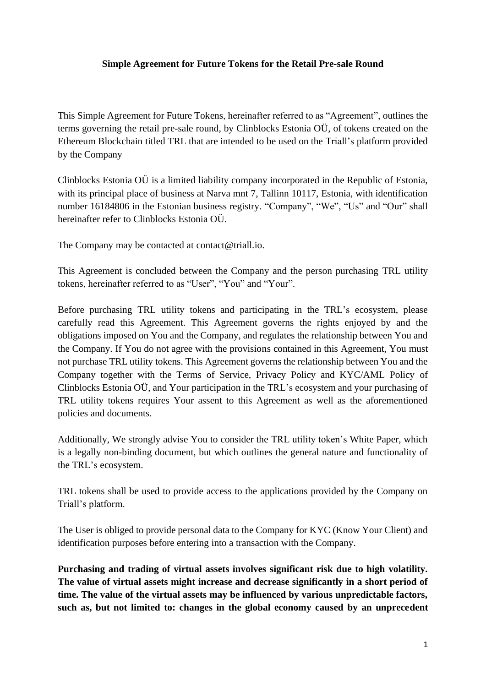### **Simple Agreement for Future Tokens for the Retail Pre-sale Round**

This Simple Agreement for Future Tokens, hereinafter referred to as "Agreement", outlines the terms governing the retail pre-sale round, by Clinblocks Estonia OÜ, of tokens created on the Ethereum Blockchain titled TRL that are intended to be used on the Triall's platform provided by the Company

Clinblocks Estonia OÜ is a limited liability company incorporated in the Republic of Estonia, with its principal place of business at Narva mnt 7, Tallinn 10117, Estonia, with identification number 16184806 in the Estonian business registry. "Company", "We", "Us" and "Our" shall hereinafter refer to Clinblocks Estonia OÜ.

The Company may be contacted at contact@triall.io.

This Agreement is concluded between the Company and the person purchasing TRL utility tokens, hereinafter referred to as "User", "You" and "Your".

Before purchasing TRL utility tokens and participating in the TRL's ecosystem, please carefully read this Agreement. This Agreement governs the rights enjoyed by and the obligations imposed on You and the Company, and regulates the relationship between You and the Company. If You do not agree with the provisions contained in this Agreement, You must not purchase TRL utility tokens. This Agreement governs the relationship between You and the Company together with the Terms of Service, Privacy Policy and KYC/AML Policy of Clinblocks Estonia OÜ, and Your participation in the TRL's ecosystem and your purchasing of TRL utility tokens requires Your assent to this Agreement as well as the aforementioned policies and documents.

Additionally, We strongly advise You to consider the TRL utility token's White Paper, which is a legally non-binding document, but which outlines the general nature and functionality of the TRL's ecosystem.

TRL tokens shall be used to provide access to the applications provided by the Company on Triall's platform.

The User is obliged to provide personal data to the Company for KYC (Know Your Client) and identification purposes before entering into a transaction with the Company.

**Purchasing and trading of virtual assets involves significant risk due to high volatility. The value of virtual assets might increase and decrease significantly in a short period of time. The value of the virtual assets may be influenced by various unpredictable factors, such as, but not limited to: changes in the global economy caused by an unprecedent**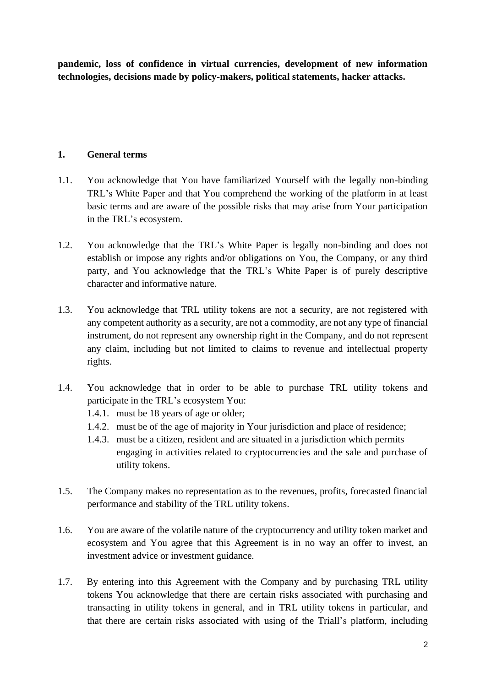**pandemic, loss of confidence in virtual currencies, development of new information technologies, decisions made by policy-makers, political statements, hacker attacks.** 

## **1. General terms**

- 1.1. You acknowledge that You have familiarized Yourself with the legally non-binding TRL's White Paper and that You comprehend the working of the platform in at least basic terms and are aware of the possible risks that may arise from Your participation in the TRL's ecosystem.
- 1.2. You acknowledge that the TRL's White Paper is legally non-binding and does not establish or impose any rights and/or obligations on You, the Company, or any third party, and You acknowledge that the TRL's White Paper is of purely descriptive character and informative nature.
- 1.3. You acknowledge that TRL utility tokens are not a security, are not registered with any competent authority as a security, are not a commodity, are not any type of financial instrument, do not represent any ownership right in the Company, and do not represent any claim, including but not limited to claims to revenue and intellectual property rights.
- 1.4. You acknowledge that in order to be able to purchase TRL utility tokens and participate in the TRL's ecosystem You:
	- 1.4.1. must be 18 years of age or older;
	- 1.4.2. must be of the age of majority in Your jurisdiction and place of residence;
	- 1.4.3. must be a citizen, resident and are situated in a jurisdiction which permits engaging in activities related to cryptocurrencies and the sale and purchase of utility tokens.
- 1.5. The Company makes no representation as to the revenues, profits, forecasted financial performance and stability of the TRL utility tokens.
- 1.6. You are aware of the volatile nature of the cryptocurrency and utility token market and ecosystem and You agree that this Agreement is in no way an offer to invest, an investment advice or investment guidance.
- 1.7. By entering into this Agreement with the Company and by purchasing TRL utility tokens You acknowledge that there are certain risks associated with purchasing and transacting in utility tokens in general, and in TRL utility tokens in particular, and that there are certain risks associated with using of the Triall's platform, including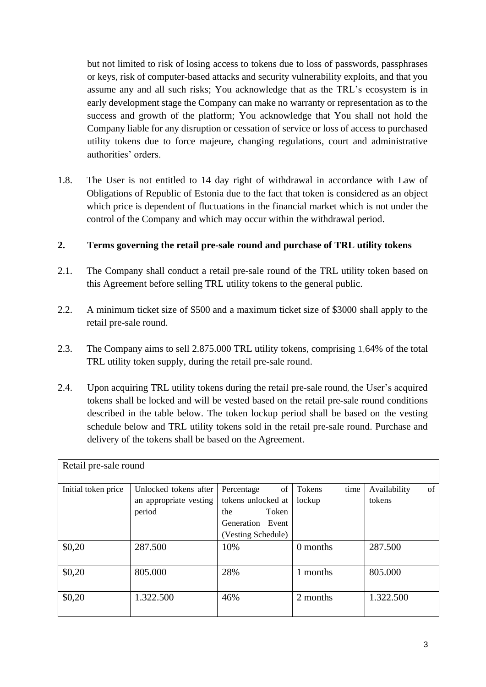but not limited to risk of losing access to tokens due to loss of passwords, passphrases or keys, risk of computer-based attacks and security vulnerability exploits, and that you assume any and all such risks; You acknowledge that as the TRL's ecosystem is in early development stage the Company can make no warranty or representation as to the success and growth of the platform; You acknowledge that You shall not hold the Company liable for any disruption or cessation of service or loss of access to purchased utility tokens due to force majeure, changing regulations, court and administrative authorities' orders.

1.8. The User is not entitled to 14 day right of withdrawal in accordance with Law of Obligations of Republic of Estonia due to the fact that token is considered as an object which price is dependent of fluctuations in the financial market which is not under the control of the Company and which may occur within the withdrawal period.

## **2. Terms governing the retail pre-sale round and purchase of TRL utility tokens**

- 2.1. The Company shall conduct a retail pre-sale round of the TRL utility token based on this Agreement before selling TRL utility tokens to the general public.
- 2.2. A minimum ticket size of \$500 and a maximum ticket size of \$3000 shall apply to the retail pre-sale round.
- 2.3. The Company aims to sell 2.875.000 TRL utility tokens, comprising 1,64% of the total TRL utility token supply, during the retail pre-sale round.
- 2.4. Upon acquiring TRL utility tokens during the retail pre-sale round, the User's acquired tokens shall be locked and will be vested based on the retail pre-sale round conditions described in the table below. The token lockup period shall be based on the vesting schedule below and TRL utility tokens sold in the retail pre-sale round. Purchase and delivery of the tokens shall be based on the Agreement.

| Retail pre-sale round |                        |                    |                |                    |  |  |  |
|-----------------------|------------------------|--------------------|----------------|--------------------|--|--|--|
|                       |                        |                    |                |                    |  |  |  |
| Initial token price   | Unlocked tokens after  | of<br>Percentage   | Tokens<br>time | of<br>Availability |  |  |  |
|                       | an appropriate vesting | tokens unlocked at | lockup         | tokens             |  |  |  |
|                       | period                 | Token<br>the       |                |                    |  |  |  |
|                       |                        | Generation Event   |                |                    |  |  |  |
|                       |                        | (Vesting Schedule) |                |                    |  |  |  |
| \$0,20                | 287.500                | 10%                | 0 months       | 287.500            |  |  |  |
|                       |                        |                    |                |                    |  |  |  |
| \$0,20                | 805.000                | 28%                | 1 months       | 805.000            |  |  |  |
|                       |                        |                    |                |                    |  |  |  |
| \$0,20                | 1.322.500              | 46%                | 2 months       | 1.322.500          |  |  |  |
|                       |                        |                    |                |                    |  |  |  |
|                       |                        |                    |                |                    |  |  |  |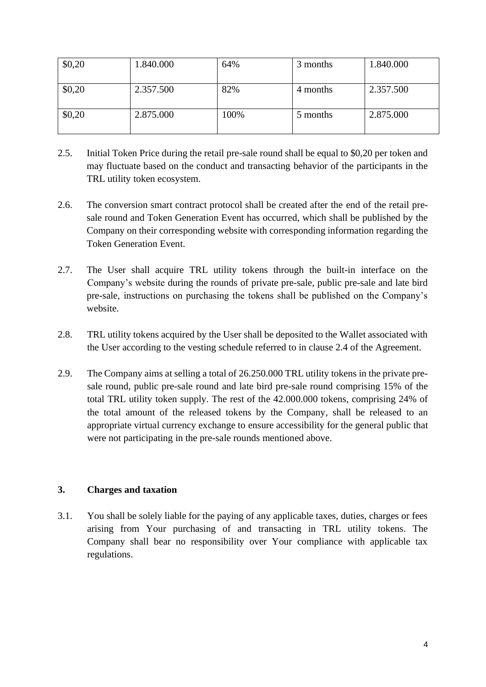| \$0,20 | 1.840.000 | 64%  | 3 months | 1.840.000 |
|--------|-----------|------|----------|-----------|
| \$0,20 | 2.357.500 | 82%  | 4 months | 2.357.500 |
| \$0,20 | 2.875.000 | 100% | 5 months | 2.875.000 |

- 2.5. Initial Token Price during the retail pre-sale round shall be equal to \$0,20 per token and may fluctuate based on the conduct and transacting behavior of the participants in the TRL utility token ecosystem.
- 2.6. The conversion smart contract protocol shall be created after the end of the retail presale round and Token Generation Event has occurred, which shall be published by the Company on their corresponding website with corresponding information regarding the Token Generation Event.
- 2.7. The User shall acquire TRL utility tokens through the built-in interface on the Company's website during the rounds of private pre-sale, public pre-sale and late bird pre-sale, instructions on purchasing the tokens shall be published on the Company's website.
- 2.8. TRL utility tokens acquired by the User shall be deposited to the Wallet associated with the User according to the vesting schedule referred to in clause 2.4 of the Agreement.
- 2.9. The Company aims at selling a total of 26.250.000 TRL utility tokens in the private presale round, public pre-sale round and late bird pre-sale round comprising 15% of the total TRL utility token supply. The rest of the 42.000.000 tokens, comprising 24% of the total amount of the released tokens by the Company, shall be released to an appropriate virtual currency exchange to ensure accessibility for the general public that were not participating in the pre-sale rounds mentioned above.

## **3. Charges and taxation**

3.1. You shall be solely liable for the paying of any applicable taxes, duties, charges or fees arising from Your purchasing of and transacting in TRL utility tokens. The Company shall bear no responsibility over Your compliance with applicable tax regulations.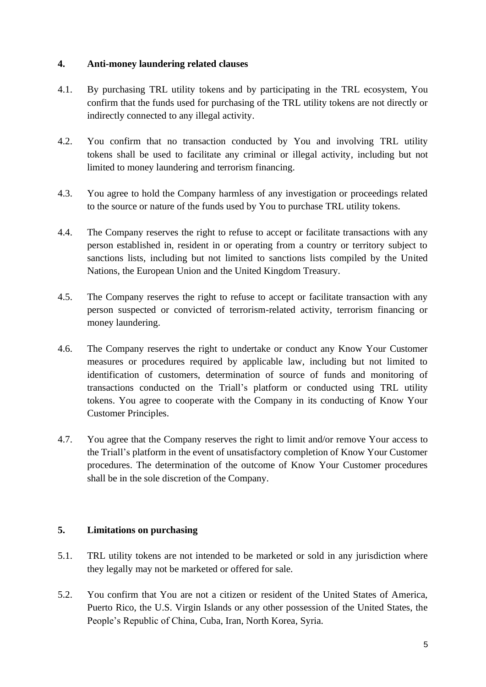### **4. Anti-money laundering related clauses**

- 4.1. By purchasing TRL utility tokens and by participating in the TRL ecosystem, You confirm that the funds used for purchasing of the TRL utility tokens are not directly or indirectly connected to any illegal activity.
- 4.2. You confirm that no transaction conducted by You and involving TRL utility tokens shall be used to facilitate any criminal or illegal activity, including but not limited to money laundering and terrorism financing.
- 4.3. You agree to hold the Company harmless of any investigation or proceedings related to the source or nature of the funds used by You to purchase TRL utility tokens.
- 4.4. The Company reserves the right to refuse to accept or facilitate transactions with any person established in, resident in or operating from a country or territory subject to sanctions lists, including but not limited to sanctions lists compiled by the United Nations, the European Union and the United Kingdom Treasury.
- 4.5. The Company reserves the right to refuse to accept or facilitate transaction with any person suspected or convicted of terrorism-related activity, terrorism financing or money laundering.
- 4.6. The Company reserves the right to undertake or conduct any Know Your Customer measures or procedures required by applicable law, including but not limited to identification of customers, determination of source of funds and monitoring of transactions conducted on the Triall's platform or conducted using TRL utility tokens. You agree to cooperate with the Company in its conducting of Know Your Customer Principles.
- 4.7. You agree that the Company reserves the right to limit and/or remove Your access to the Triall's platform in the event of unsatisfactory completion of Know Your Customer procedures. The determination of the outcome of Know Your Customer procedures shall be in the sole discretion of the Company.

### **5. Limitations on purchasing**

- 5.1. TRL utility tokens are not intended to be marketed or sold in any jurisdiction where they legally may not be marketed or offered for sale.
- 5.2. You confirm that You are not a citizen or resident of the United States of America, Puerto Rico, the U.S. Virgin Islands or any other possession of the United States, the People's Republic of China, Cuba, Iran, North Korea, Syria.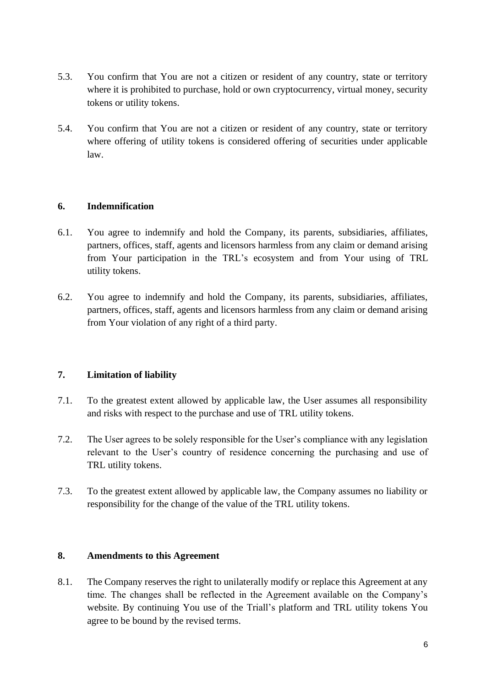- 5.3. You confirm that You are not a citizen or resident of any country, state or territory where it is prohibited to purchase, hold or own cryptocurrency, virtual money, security tokens or utility tokens.
- 5.4. You confirm that You are not a citizen or resident of any country, state or territory where offering of utility tokens is considered offering of securities under applicable law.

## **6. Indemnification**

- 6.1. You agree to indemnify and hold the Company, its parents, subsidiaries, affiliates, partners, offices, staff, agents and licensors harmless from any claim or demand arising from Your participation in the TRL's ecosystem and from Your using of TRL utility tokens.
- 6.2. You agree to indemnify and hold the Company, its parents, subsidiaries, affiliates, partners, offices, staff, agents and licensors harmless from any claim or demand arising from Your violation of any right of a third party.

## **7. Limitation of liability**

- 7.1. To the greatest extent allowed by applicable law, the User assumes all responsibility and risks with respect to the purchase and use of TRL utility tokens.
- 7.2. The User agrees to be solely responsible for the User's compliance with any legislation relevant to the User's country of residence concerning the purchasing and use of TRL utility tokens.
- 7.3. To the greatest extent allowed by applicable law, the Company assumes no liability or responsibility for the change of the value of the TRL utility tokens.

### **8. Amendments to this Agreement**

8.1. The Company reserves the right to unilaterally modify or replace this Agreement at any time. The changes shall be reflected in the Agreement available on the Company's website. By continuing You use of the Triall's platform and TRL utility tokens You agree to be bound by the revised terms.